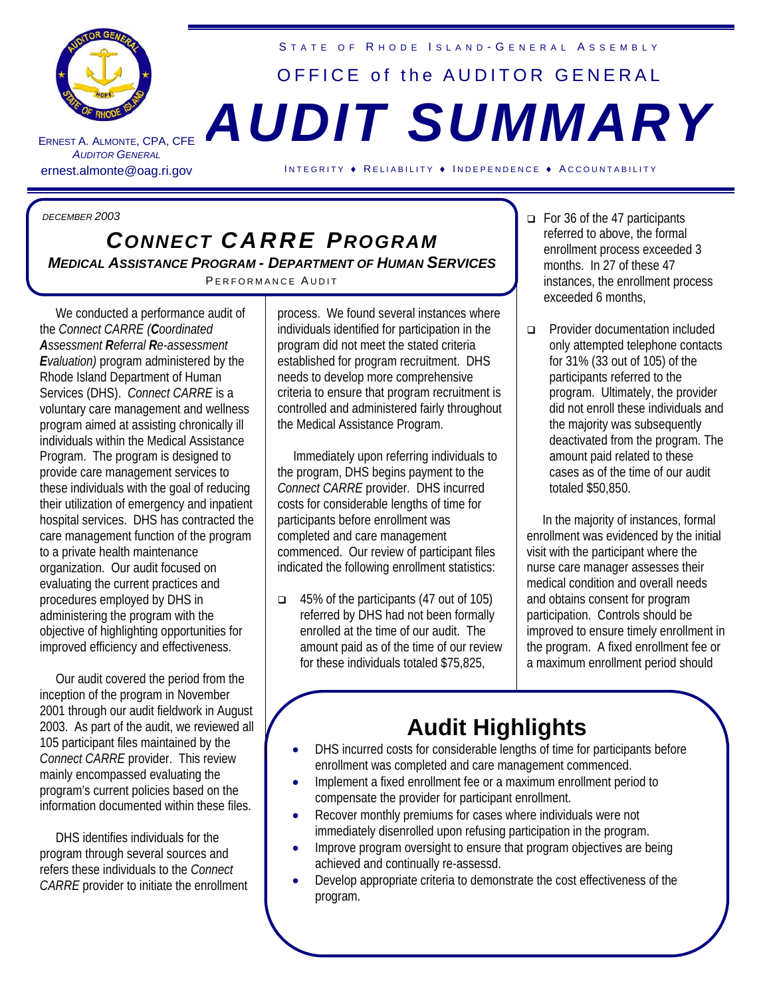

ERNEST A. A LMONTE , CPA, CFE **AUDITOR GENERAL** 

STATE OF RHODE ISLAND-GENERAL ASSEMBLY

## OFFICE of the AUDITOR GENERAL *AUDIT SUMMARY*

ernest.almonte@oag.ri.gov INTEGRITY • RELIABILITY • INDEPENDENCE • ACCOUNTABILITY

*DECEMBER 2003*

## *CONNECT CARRE PROGRAM MEDICAL ASSISTANCE PROGRAM - DEPARTMENT OF HUMAN SERVICES*  PERFORMANCE AUDIT

 We conducted a performance audit of the *Connect CARRE (Coordinated Assessment Referral Re-assessment Evaluation)* program administered by the Rhode Island Department of Human Services (DHS). *Connect CARRE* is a voluntary care management and wellness program aimed at assisting chronically ill individuals within the Medical Assistance Program. The program is designed to provide care management services to these individuals with the goal of reducing their utilization of emergency and inpatient hospital services. DHS has contracted the care management function of the program to a private health maintenance organization. Our audit focused on evaluating the current practices and procedures employed by DHS in administering the program with the objective of highlighting opportunities for improved efficiency and effectiveness.

 Our audit covered the period from the inception of the program in November 2001 through our audit fieldwork in August 2003. As part of the audit, we reviewed all 105 participant files maintained by the *Connect CARRE* provider. This review mainly encompassed evaluating the program's current policies based on the information documented within these files.

 DHS identifies individuals for the program through several sources and refers these individuals to the *Connect CARRE* provider to initiate the enrollment process. We found several instances where individuals identified for participation in the program did not meet the stated criteria established for program recruitment. DHS needs to develop more comprehensive criteria to ensure that program recruitment is controlled and administered fairly throughout the Medical Assistance Program.

 Immediately upon referring individuals to the program, DHS begins payment to the *Connect CARRE* provider. DHS incurred costs for considerable lengths of time for participants before enrollment was completed and care management commenced. Our review of participant files indicated the following enrollment statistics:

 $\Box$  45% of the participants (47 out of 105) referred by DHS had not been formally enrolled at the time of our audit. The amount paid as of the time of our review for these individuals totaled \$75,825,

- $\Box$  For 36 of the 47 participants referred to above, the formal enrollment process exceeded 3 months. In 27 of these 47 instances, the enrollment process exceeded 6 months,
- **Provider documentation included** only attempted telephone contacts for 31% (33 out of 105) of the participants referred to the program. Ultimately, the provider did not enroll these individuals and the majority was subsequently deactivated from the program. The amount paid related to these cases as of the time of our audit totaled \$50,850.

 In the majority of instances, formal enrollment was evidenced by the initial visit with the participant where the nurse care manager assesses their medical condition and overall needs and obtains consent for program participation. Controls should be improved to ensure timely enrollment in the program. A fixed enrollment fee or a maximum enrollment period should

## **Audit Highlights**

- DHS incurred costs for considerable lengths of time for participants before enrollment was completed and care management commenced.
- Implement a fixed enrollment fee or a maximum enrollment period to compensate the provider for participant enrollment.
- Recover monthly premiums for cases where individuals were not immediately disenrolled upon refusing participation in the program.
- Improve program oversight to ensure that program objectives are being achieved and continually re-assessd.
- Develop appropriate criteria to demonstrate the cost effectiveness of the program.